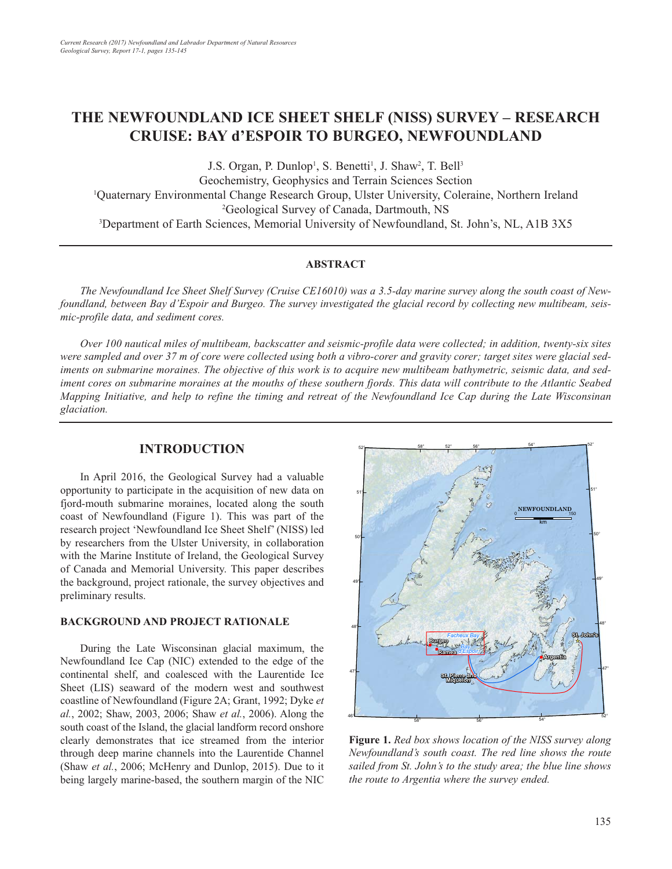# **THE NEWFOUNDLAND ICE SHEET SHELF (NISS) SURVEY – RESEARCH CRUISE: BAY d'ESPOIR TO BURGEO, NEWFOUNDLAND**

J.S. Organ, P. Dunlop<sup>1</sup>, S. Benetti<sup>1</sup>, J. Shaw<sup>2</sup>, T. Bell<sup>3</sup> Geochemistry, Geophysics and Terrain Sciences Section 1 Quaternary Environmental Change Research Group, Ulster University, Coleraine, Northern Ireland 2 Geological Survey of Canada, Dartmouth, NS 3 Department of Earth Sciences, Memorial University of Newfoundland, St. John's, NL, A1B 3X5

### **ABSTRACT**

*The Newfoundland Ice Sheet Shelf Survey (Cruise CE16010) was a 3.5-day marine survey along the south coast of Newfoundland, between Bay d'Espoir and Burgeo. The survey investigated the glacial record by collecting new multibeam, seismic-profile data, and sediment cores.*

*Over 100 nautical miles of multibeam, backscatter and seismic-profile data were collected; in addition, twenty-six sites were sampled and over 37 m of core were collected using both a vibro-corer and gravity corer; target sites were glacial sediments on submarine moraines. The objective of this work is to acquire new multibeam bathymetric, seismic data, and sediment cores on submarine moraines at the mouths of these southern fjords. This data will contribute to the Atlantic Seabed Mapping Initiative, and help to refine the timing and retreat of the Newfoundland Ice Cap during the Late Wisconsinan glaciation.*

# **INTRODUCTION**

In April 2016, the Geological Survey had a valuable opportunity to participate in the acquisition of new data on fjord-mouth submarine moraines, located along the south coast of Newfoundland (Figure 1). This was part of the research project 'Newfoundland Ice Sheet Shelf' (NISS) led by researchers from the Ulster University, in collaboration with the Marine Institute of Ireland, the Geological Survey of Canada and Memorial University. This paper describes the background, project rationale, the survey objectives and preliminary results.

### **BACKGROUND AND PROJECT RATIONALE**

During the Late Wisconsinan glacial maximum, the Newfoundland Ice Cap (NIC) extended to the edge of the continental shelf, and coalesced with the Laurentide Ice Sheet (LIS) seaward of the modern west and southwest coastline of Newfoundland (Figure 2A; Grant, 1992; Dyke *et al.*, 2002; Shaw, 2003, 2006; Shaw *et al.*, 2006). Along the south coast of the Island, the glacial landform record onshore clearly demonstrates that ice streamed from the interior through deep marine channels into the Laurentide Channel (Shaw *et al.*, 2006; McHenry and Dunlop, 2015). Due to it being largely marine-based, the southern margin of the NIC



**Figure 1.** *Red box shows location of the NISS survey along Newfoundland's south coast. The red line shows the route sailed from St. John's to the study area; the blue line shows the route to Argentia where the survey ended.*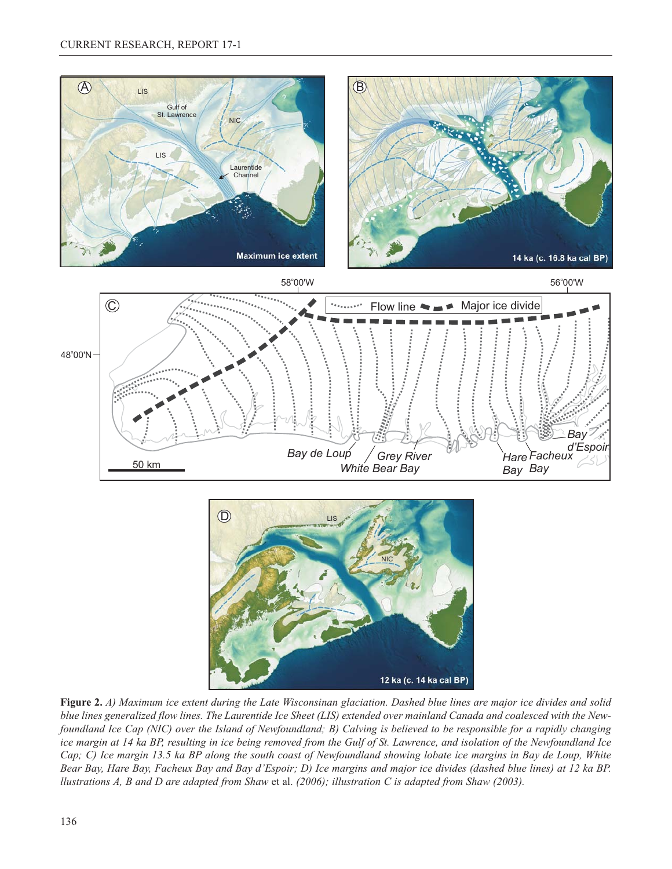



**Figure 2.** *A) Maximum ice extent during the Late Wisconsinan glaciation. Dashed blue lines are major ice divides and solid blue lines generalized flow lines. The Laurentide Ice Sheet (LIS) extended over mainland Canada and coalesced with the Newfoundland Ice Cap (NIC) over the Island of Newfoundland; B) Calving is believed to be responsible for a rapidly changing ice margin at 14 ka BP, resulting in ice being removed from the Gulf of St. Lawrence, and isolation of the Newfoundland Ice Cap; C) Ice margin 13.5 ka BP along the south coast of Newfoundland showing lobate ice margins in Bay de Loup, White Bear Bay, Hare Bay, Facheux Bay and Bay d'Espoir; D) Ice margins and major ice divides (dashed blue lines) at 12 ka BP. llustrations A, B and D are adapted from Shaw* et al. *(2006); illustration C is adapted from Shaw (2003).*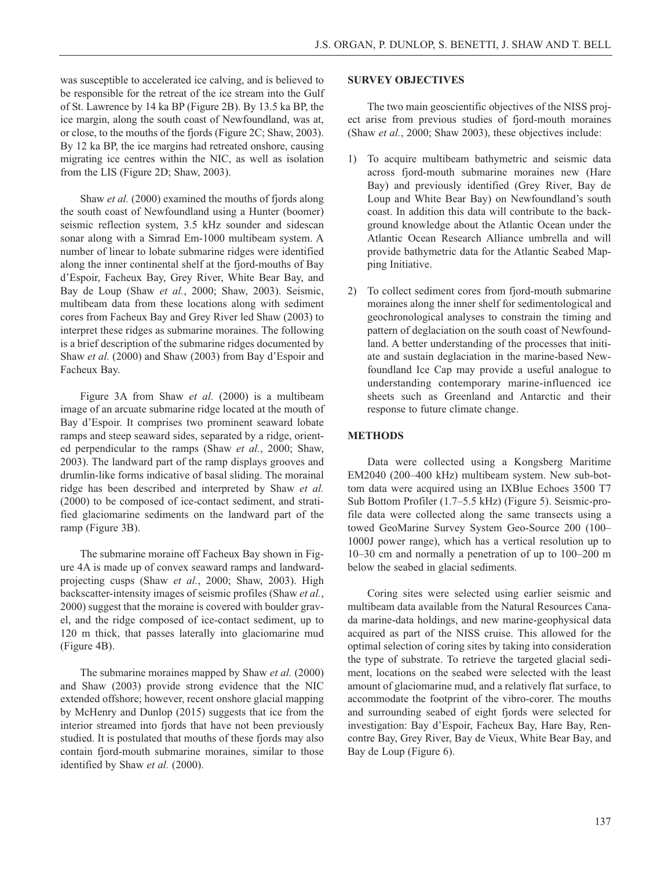was susceptible to accelerated ice calving, and is believed to be responsible for the retreat of the ice stream into the Gulf of St. Lawrence by 14 ka BP (Figure 2B). By 13.5 ka BP, the ice margin, along the south coast of Newfoundland, was at, or close, to the mouths of the fjords (Figure 2C; Shaw, 2003). By 12 ka BP, the ice margins had retreated onshore, causing migrating ice centres within the NIC, as well as isolation from the LIS (Figure 2D; Shaw, 2003).

Shaw *et al.* (2000) examined the mouths of fjords along the south coast of Newfoundland using a Hunter (boomer) seismic reflection system, 3.5 kHz sounder and sidescan sonar along with a Simrad Em-1000 multibeam system. A number of linear to lobate submarine ridges were identified along the inner continental shelf at the fjord-mouths of Bay d'Espoir, Facheux Bay, Grey River, White Bear Bay, and Bay de Loup (Shaw *et al.*, 2000; Shaw, 2003). Seismic, multibeam data from these locations along with sediment cores from Facheux Bay and Grey River led Shaw (2003) to interpret these ridges as submarine moraines. The following is a brief description of the submarine ridges documented by Shaw *et al.* (2000) and Shaw (2003) from Bay d'Espoir and Facheux Bay.

Figure 3A from Shaw *et al.* (2000) is a multibeam image of an arcuate submarine ridge located at the mouth of Bay d'Espoir. It comprises two prominent seaward lobate ramps and steep seaward sides, separated by a ridge, oriented perpendicular to the ramps (Shaw *et al.*, 2000; Shaw, 2003). The landward part of the ramp displays grooves and drumlin-like forms indicative of basal sliding. The morainal ridge has been described and interpreted by Shaw *et al.* (2000) to be composed of ice-contact sediment, and stratified glaciomarine sediments on the landward part of the ramp (Figure 3B).

The submarine moraine off Facheux Bay shown in Figure 4A is made up of convex seaward ramps and landwardprojecting cusps (Shaw *et al.*, 2000; Shaw, 2003). High backscatter-intensity images of seismic profiles (Shaw *et al.*, 2000) suggest that the moraine is covered with boulder gravel, and the ridge composed of ice-contact sediment, up to 120 m thick, that passes laterally into glaciomarine mud (Figure 4B).

The submarine moraines mapped by Shaw *et al.* (2000) and Shaw (2003) provide strong evidence that the NIC extended offshore; however, recent onshore glacial mapping by McHenry and Dunlop (2015) suggests that ice from the interior streamed into fjords that have not been previously studied. It is postulated that mouths of these fjords may also contain fjord-mouth submarine moraines, similar to those identified by Shaw *et al.* (2000).

#### **SURVEY OBJECTIVES**

The two main geoscientific objectives of the NISS project arise from previous studies of fjord-mouth moraines (Shaw *et al.*, 2000; Shaw 2003), these objectives include:

- 1) To acquire multibeam bathymetric and seismic data across fjord-mouth submarine moraines new (Hare Bay) and previously identified (Grey River, Bay de Loup and White Bear Bay) on Newfoundland's south coast. In addition this data will contribute to the background knowledge about the Atlantic Ocean under the Atlantic Ocean Research Alliance umbrella and will provide bathymetric data for the Atlantic Seabed Mapping Initiative.
- 2) To collect sediment cores from fjord-mouth submarine moraines along the inner shelf for sedimentological and geochronological analyses to constrain the timing and pattern of deglaciation on the south coast of Newfoundland. A better understanding of the processes that initiate and sustain deglaciation in the marine-based Newfoundland Ice Cap may provide a useful analogue to understanding contemporary marine-influenced ice sheets such as Greenland and Antarctic and their response to future climate change.

### **METHODS**

Data were collected using a Kongsberg Maritime EM2040 (200–400 kHz) multibeam system. New sub-bottom data were acquired using an IXBlue Echoes 3500 T7 Sub Bottom Profiler (1.7–5.5 kHz) (Figure 5). Seismic-profile data were collected along the same transects using a towed GeoMarine Survey System Geo-Source 200 (100– 1000J power range), which has a vertical resolution up to 10–30 cm and normally a penetration of up to 100–200 m below the seabed in glacial sediments.

Coring sites were selected using earlier seismic and multibeam data available from the Natural Resources Canada marine-data holdings, and new marine-geophysical data acquired as part of the NISS cruise. This allowed for the optimal selection of coring sites by taking into consideration the type of substrate. To retrieve the targeted glacial sediment, locations on the seabed were selected with the least amount of glaciomarine mud, and a relatively flat surface, to accommodate the footprint of the vibro-corer. The mouths and surrounding seabed of eight fjords were selected for investigation: Bay d'Espoir, Facheux Bay, Hare Bay, Rencontre Bay, Grey River, Bay de Vieux, White Bear Bay, and Bay de Loup (Figure 6).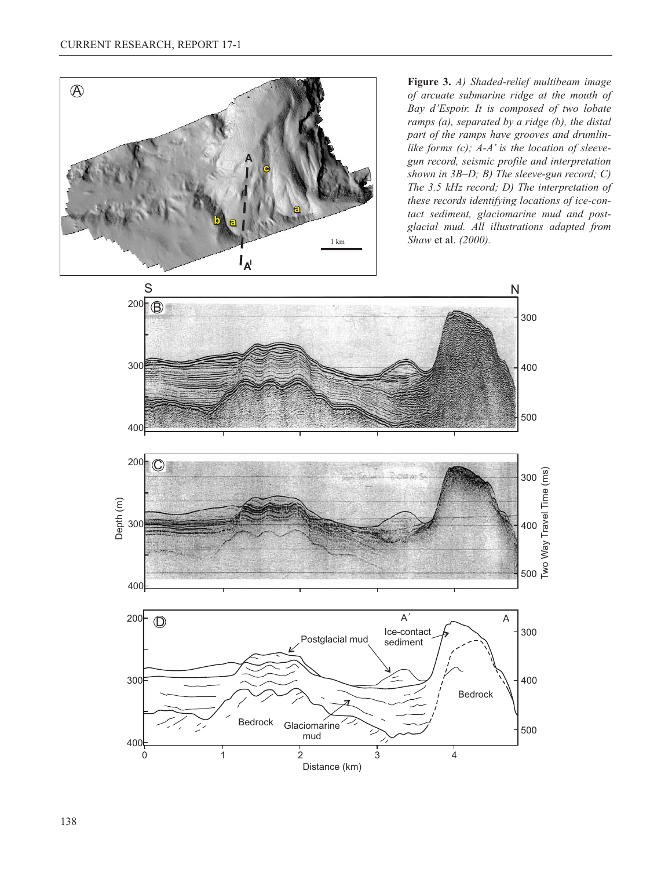

*of arcuate submarine ridge at the mouth of Bay d'Espoir. It is composed of two lobate ramps (a), separated by a ridge (b), the distal part of the ramps have grooves and drumlinlike forms (c); A-A' is the location of sleevegun record, seismic profile and interpretation shown in 3B*–*D; B) The sleeve-gun record; C) The 3.5 kHz record; D) The interpretation of these records identifying locations of ice-contact sediment, glaciomarine mud and postglacial mud. All illustrations adapted from Shaw* et al. *(2000).*

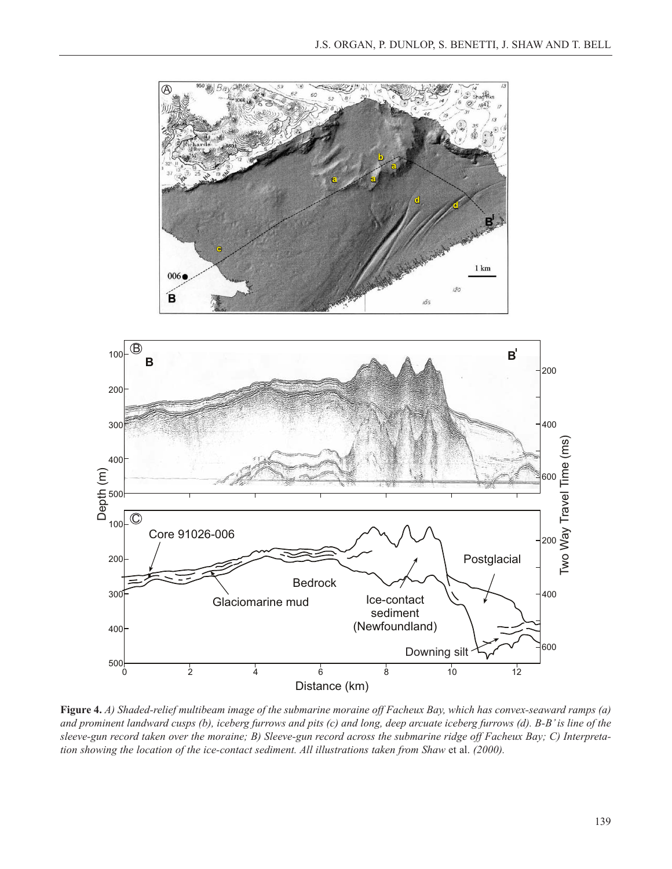

**Figure 4.** *A) Shaded-relief multibeam image of the submarine moraine off Facheux Bay, which has convex-seaward ramps (a) and prominent landward cusps (b), iceberg furrows and pits (c) and long, deep arcuate iceberg furrows (d). B-B' is line of the sleeve-gun record taken over the moraine; B) Sleeve-gun record across the submarine ridge off Facheux Bay; C) Interpretation showing the location of the ice-contact sediment. All illustrations taken from Shaw et al. (2000).*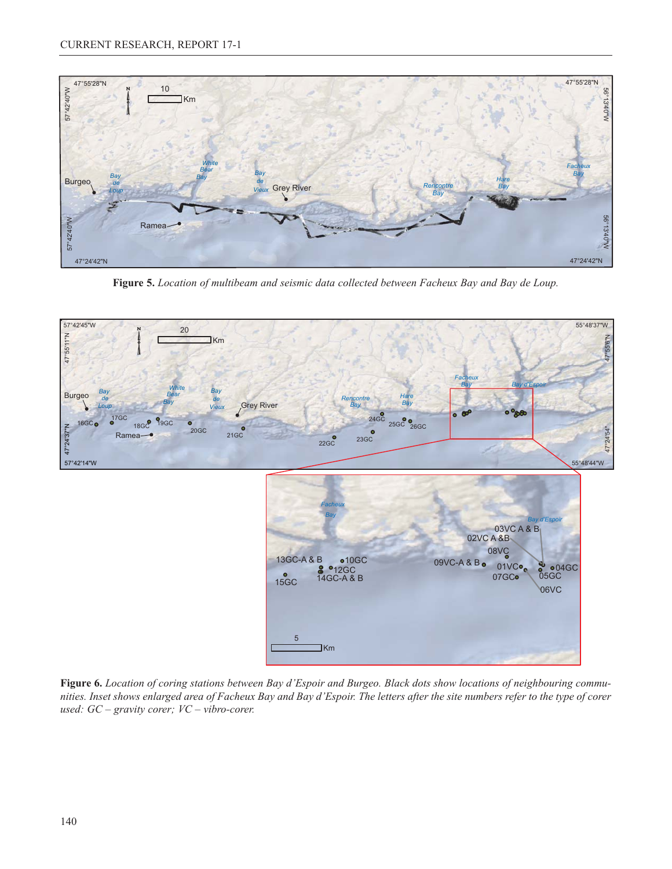

**Figure 5.** *Location of multibeam and seismic data collected between Facheux Bay and Bay de Loup.*



**Figure 6.** *Location of coring stations between Bay d'Espoir and Burgeo. Black dots show locations of neighbouring communities. Inset shows enlarged area of Facheux Bay and Bay d'Espoir. The letters after the site numbers refer to the type of corer used: GC* – *gravity corer; VC* – *vibro-corer.*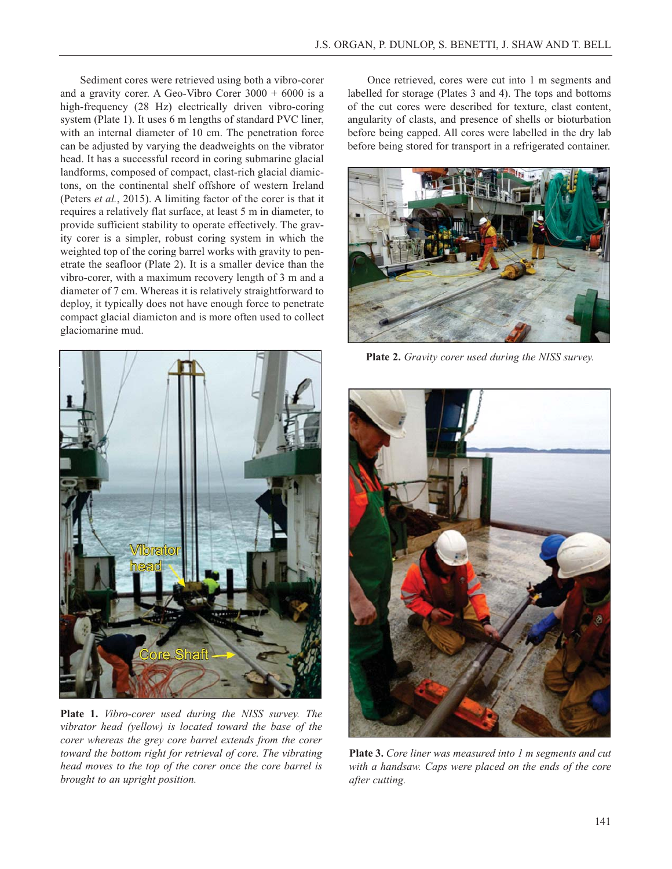Sediment cores were retrieved using both a vibro-corer and a gravity corer. A Geo-Vibro Corer  $3000 + 6000$  is a high-frequency (28 Hz) electrically driven vibro-coring system (Plate 1). It uses 6 m lengths of standard PVC liner, with an internal diameter of 10 cm. The penetration force can be adjusted by varying the deadweights on the vibrator head. It has a successful record in coring submarine glacial landforms, composed of compact, clast-rich glacial diamictons, on the continental shelf offshore of western Ireland (Peters *et al.*, 2015). A limiting factor of the corer is that it requires a relatively flat surface, at least 5 m in diameter, to provide sufficient stability to operate effectively. The gravity corer is a simpler, robust coring system in which the weighted top of the coring barrel works with gravity to penetrate the seafloor (Plate 2). It is a smaller device than the vibro-corer, with a maximum recovery length of 3 m and a diameter of 7 cm. Whereas it is relatively straightforward to deploy, it typically does not have enough force to penetrate compact glacial diamicton and is more often used to collect glaciomarine mud.



**Plate 1.** *Vibro-corer used during the NISS survey. The vibrator head (yellow) is located toward the base of the corer whereas the grey core barrel extends from the corer toward the bottom right for retrieval of core. The vibrating head moves to the top of the corer once the core barrel is brought to an upright position.* 

Once retrieved, cores were cut into 1 m segments and labelled for storage (Plates 3 and 4). The tops and bottoms of the cut cores were described for texture, clast content, angularity of clasts, and presence of shells or bioturbation before being capped. All cores were labelled in the dry lab before being stored for transport in a refrigerated container.



**Plate 2.** *Gravity corer used during the NISS survey.*



**Plate 3.** *Core liner was measured into 1 m segments and cut with a handsaw. Caps were placed on the ends of the core after cutting.*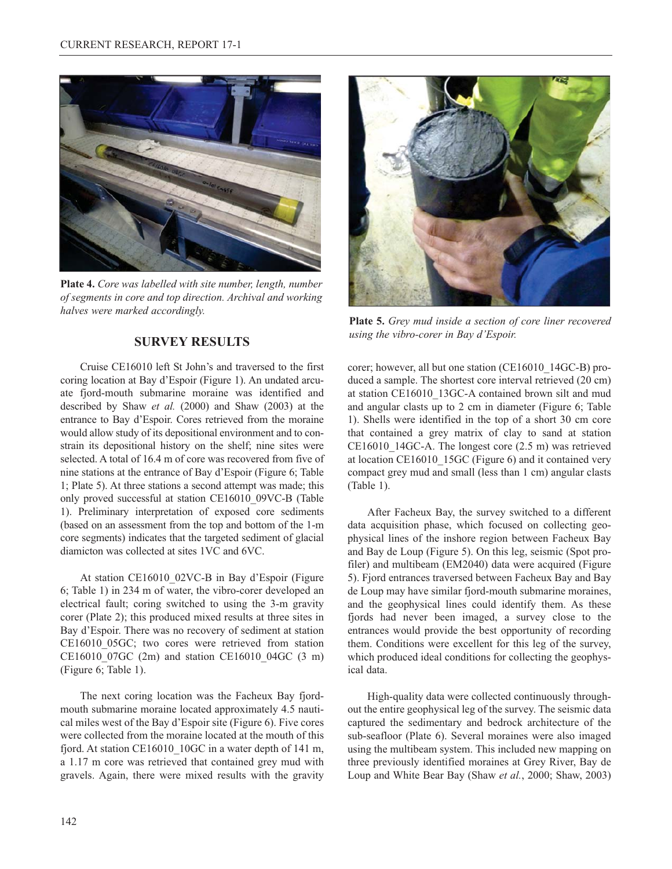

**Plate 4.** *Core was labelled with site number, length, number of segments in core and top direction. Archival and working halves were marked accordingly.*

## **SURVEY RESULTS**

Cruise CE16010 left St John's and traversed to the first coring location at Bay d'Espoir (Figure 1). An undated arcuate fjord-mouth submarine moraine was identified and described by Shaw *et al.* (2000) and Shaw (2003) at the entrance to Bay d'Espoir. Cores retrieved from the moraine would allow study of its depositional environment and to constrain its depositional history on the shelf; nine sites were selected. A total of 16.4 m of core was recovered from five of nine stations at the entrance of Bay d'Espoir (Figure 6; Table 1; Plate 5). At three stations a second attempt was made; this only proved successful at station CE16010\_09VC-B (Table 1). Preliminary interpretation of exposed core sediments (based on an assessment from the top and bottom of the 1-m core segments) indicates that the targeted sediment of glacial diamicton was collected at sites 1VC and 6VC.

At station CE16010\_02VC-B in Bay d'Espoir (Figure 6; Table 1) in 234 m of water, the vibro-corer developed an electrical fault; coring switched to using the 3-m gravity corer (Plate 2); this produced mixed results at three sites in Bay d'Espoir. There was no recovery of sediment at station CE16010\_05GC; two cores were retrieved from station CE16010\_07GC (2m) and station CE16010\_04GC (3 m) (Figure 6; Table 1).

The next coring location was the Facheux Bay fjordmouth submarine moraine located approximately 4.5 nautical miles west of the Bay d'Espoir site (Figure 6). Five cores were collected from the moraine located at the mouth of this fjord. At station CE16010\_10GC in a water depth of 141 m, a 1.17 m core was retrieved that contained grey mud with gravels. Again, there were mixed results with the gravity



**Plate 5.** *Grey mud inside a section of core liner recovered using the vibro-corer in Bay d'Espoir.*

corer; however, all but one station (CE16010\_14GC-B) produced a sample. The shortest core interval retrieved (20 cm) at station CE16010\_13GC-A contained brown silt and mud and angular clasts up to 2 cm in diameter (Figure 6; Table 1). Shells were identified in the top of a short 30 cm core that contained a grey matrix of clay to sand at station CE16010\_14GC-A. The longest core (2.5 m) was retrieved at location CE16010\_15GC (Figure 6) and it contained very compact grey mud and small (less than 1 cm) angular clasts (Table 1).

After Facheux Bay, the survey switched to a different data acquisition phase, which focused on collecting geophysical lines of the inshore region between Facheux Bay and Bay de Loup (Figure 5). On this leg, seismic (Spot profiler) and multibeam (EM2040) data were acquired (Figure 5). Fjord entrances traversed between Facheux Bay and Bay de Loup may have similar fjord-mouth submarine moraines, and the geophysical lines could identify them. As these fjords had never been imaged, a survey close to the entrances would provide the best opportunity of recording them. Conditions were excellent for this leg of the survey, which produced ideal conditions for collecting the geophysical data.

High-quality data were collected continuously throughout the entire geophysical leg of the survey. The seismic data captured the sedimentary and bedrock architecture of the sub-seafloor (Plate 6). Several moraines were also imaged using the multibeam system. This included new mapping on three previously identified moraines at Grey River, Bay de Loup and White Bear Bay (Shaw *et al.*, 2000; Shaw, 2003)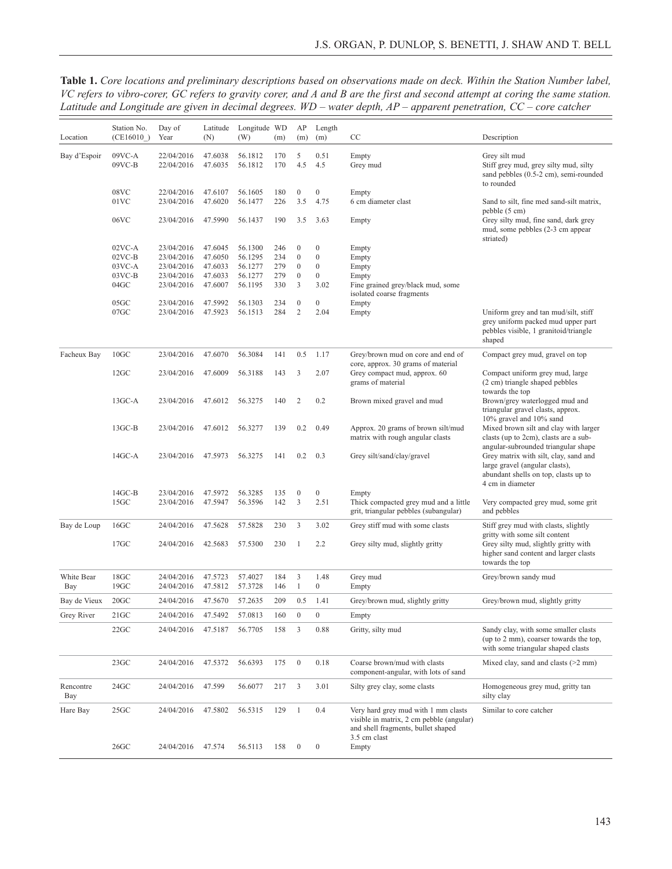**Table 1.** *Core locations and preliminary descriptions based on observations made on deck. Within the Station Number label, VC refers to vibro-corer, GC refers to gravity corer, and A and B are the first and second attempt at coring the same station. Latitude and Longitude are given in decimal degrees. WD* – *water depth, AP* – *apparent penetration, CC* – *core catcher*

| Location          | Station No.<br>(CE16010)    | Day of<br>Year           | Latitude<br>(N)    | Longitude WD<br>(W) | (m)        | AP<br>(m)               | Length<br>(m)            | CC                                                                                                                                    | Description                                                                                                                         |
|-------------------|-----------------------------|--------------------------|--------------------|---------------------|------------|-------------------------|--------------------------|---------------------------------------------------------------------------------------------------------------------------------------|-------------------------------------------------------------------------------------------------------------------------------------|
| Bay d'Espoir      | 09VC-A<br>$09VC-B$          | 22/04/2016<br>22/04/2016 | 47.6038<br>47.6035 | 56.1812<br>56.1812  | 170<br>170 | 5<br>4.5                | 0.51<br>4.5              | Empty<br>Grey mud                                                                                                                     | Grey silt mud<br>Stiff grey mud, grey silty mud, silty<br>sand pebbles (0.5-2 cm), semi-rounded<br>to rounded                       |
|                   | 08VC<br>01VC                | 22/04/2016<br>23/04/2016 | 47.6107<br>47.6020 | 56.1605<br>56.1477  | 180<br>226 | $\boldsymbol{0}$<br>3.5 | $\mathbf{0}$<br>4.75     | Empty<br>6 cm diameter clast                                                                                                          | Sand to silt, fine med sand-silt matrix,                                                                                            |
|                   | 06VC                        | 23/04/2016               | 47.5990            | 56.1437             | 190        | 3.5                     | 3.63                     | Empty                                                                                                                                 | pebble (5 cm)<br>Grey silty mud, fine sand, dark grey<br>mud, some pebbles (2-3 cm appear<br>striated)                              |
|                   | $02VC-A$                    | 23/04/2016               | 47.6045            | 56.1300             | 246        | $\boldsymbol{0}$        | $\boldsymbol{0}$         | Empty                                                                                                                                 |                                                                                                                                     |
|                   | $02VC-B$                    | 23/04/2016               | 47.6050            | 56.1295             | 234        | $\boldsymbol{0}$        | $\boldsymbol{0}$         | Empty                                                                                                                                 |                                                                                                                                     |
|                   | $03VC-A$                    | 23/04/2016               | 47.6033            | 56.1277             | 279        | $\boldsymbol{0}$        | $\boldsymbol{0}$         | Empty                                                                                                                                 |                                                                                                                                     |
|                   | $03VC-B$                    | 23/04/2016               | 47.6033            | 56.1277             | 279        | $\boldsymbol{0}$        | $\boldsymbol{0}$         | Empty                                                                                                                                 |                                                                                                                                     |
|                   | 04GC<br>$05$ GC             | 23/04/2016               | 47.6007<br>47.5992 | 56.1195             | 330        | 3<br>$\boldsymbol{0}$   | 3.02<br>$\boldsymbol{0}$ | Fine grained grey/black mud, some<br>isolated coarse fragments                                                                        |                                                                                                                                     |
|                   | $07$ GC                     | 23/04/2016<br>23/04/2016 | 47.5923            | 56.1303<br>56.1513  | 234<br>284 | $\overline{c}$          | 2.04                     | Empty                                                                                                                                 | Uniform grey and tan mud/silt, stiff                                                                                                |
|                   |                             |                          |                    |                     |            |                         |                          | Empty                                                                                                                                 | grey uniform packed mud upper part<br>pebbles visible, 1 granitoid/triangle<br>shaped                                               |
| Facheux Bay       | 10 <sub>GC</sub>            | 23/04/2016               | 47.6070            | 56.3084             | 141        | 0.5                     | 1.17                     | Grey/brown mud on core and end of                                                                                                     | Compact grey mud, gravel on top                                                                                                     |
|                   | $12$ GC                     | 23/04/2016               | 47.6009            | 56.3188             | 143        | 3                       | 2.07                     | core, approx. 30 grams of material<br>Grey compact mud, approx. 60<br>grams of material                                               | Compact uniform grey mud, large<br>(2 cm) triangle shaped pebbles<br>towards the top                                                |
|                   | $13GC-A$                    | 23/04/2016               | 47.6012            | 56.3275             | 140        | $\mathfrak{2}$          | 0.2                      | Brown mixed gravel and mud                                                                                                            | Brown/grey waterlogged mud and<br>triangular gravel clasts, approx.<br>10% gravel and 10% sand                                      |
|                   | $13$ GC-B                   | 23/04/2016               | 47.6012            | 56.3277             | 139        | 0.2                     | 0.49                     | Approx. 20 grams of brown silt/mud<br>matrix with rough angular clasts                                                                | Mixed brown silt and clay with larger<br>clasts (up to 2cm), clasts are a sub-<br>angular-subrounded triangular shape               |
|                   | $14$ GC-A                   | 23/04/2016               | 47.5973            | 56.3275             | 141        | 0.2                     | 0.3                      | Grey silt/sand/clay/gravel                                                                                                            | Grey matrix with silt, clay, sand and<br>large gravel (angular clasts),<br>abundant shells on top, clasts up to<br>4 cm in diameter |
|                   | $14$ GC-B                   | 23/04/2016               | 47.5972            | 56.3285             | 135        | $\boldsymbol{0}$        | $\boldsymbol{0}$         | Empty                                                                                                                                 |                                                                                                                                     |
|                   | 15 <sub>GC</sub>            | 23/04/2016               | 47.5947            | 56.3596             | 142        | 3                       | 2.51                     | Thick compacted grey mud and a little<br>grit, triangular pebbles (subangular)                                                        | Very compacted grey mud, some grit<br>and pebbles                                                                                   |
| Bay de Loup       | $16$ GC                     | 24/04/2016               | 47.5628            | 57.5828             | 230        | 3                       | 3.02                     | Grey stiff mud with some clasts                                                                                                       | Stiff grey mud with clasts, slightly<br>gritty with some silt content                                                               |
|                   | 17 <sub>GC</sub>            | 24/04/2016               | 42.5683            | 57.5300             | 230        | 1                       | 2.2                      | Grey silty mud, slightly gritty                                                                                                       | Grey silty mud, slightly gritty with<br>higher sand content and larger clasts<br>towards the top                                    |
| White Bear<br>Bay | $18$ GC<br>19 <sub>GC</sub> | 24/04/2016<br>24/04/2016 | 47.5723<br>47.5812 | 57.4027<br>57.3728  | 184<br>146 | 3<br>$\mathbf{1}$       | 1.48<br>$\mathbf{0}$     | Grey mud<br>Empty                                                                                                                     | Grey/brown sandy mud                                                                                                                |
| Bay de Vieux      | 20 <sub>GC</sub>            | 24/04/2016               | 47.5670            | 57.2635             | 209        | 0.5                     | 1.41                     | Grey/brown mud, slightly gritty                                                                                                       | Grey/brown mud, slightly gritty                                                                                                     |
| Grey River        | $21$ GC                     | 24/04/2016               | 47.5492            | 57.0813             | 160        | $\boldsymbol{0}$        | $\boldsymbol{0}$         | Empty                                                                                                                                 |                                                                                                                                     |
|                   | $22$ GC                     | 24/04/2016               | 47.5187            | 56.7705             | 158        | 3                       | 0.88                     | Gritty, silty mud                                                                                                                     | Sandy clay, with some smaller clasts<br>(up to 2 mm), coarser towards the top,<br>with some triangular shaped clasts                |
|                   | $23$ GC                     | 24/04/2016               | 47.5372            | 56.6393             | 175        | $\boldsymbol{0}$        | 0.18                     | Coarse brown/mud with clasts<br>component-angular, with lots of sand                                                                  | Mixed clay, sand and clasts (>2 mm)                                                                                                 |
| Rencontre<br>Bay  | $24$ GC                     | 24/04/2016               | 47.599             | 56.6077             | 217        | 3                       | 3.01                     | Silty grey clay, some clasts                                                                                                          | Homogeneous grey mud, gritty tan<br>silty clay                                                                                      |
| Hare Bay          | $25$ GC                     | 24/04/2016               | 47.5802            | 56.5315             | 129        | $\mathbf{1}$            | 0.4                      | Very hard grey mud with 1 mm clasts<br>visible in matrix, 2 cm pebble (angular)<br>and shell fragments, bullet shaped<br>3.5 cm clast | Similar to core catcher                                                                                                             |
|                   | $26$ GC                     | 24/04/2016               | 47.574             | 56.5113             | 158        | $\boldsymbol{0}$        | $\boldsymbol{0}$         | Empty                                                                                                                                 |                                                                                                                                     |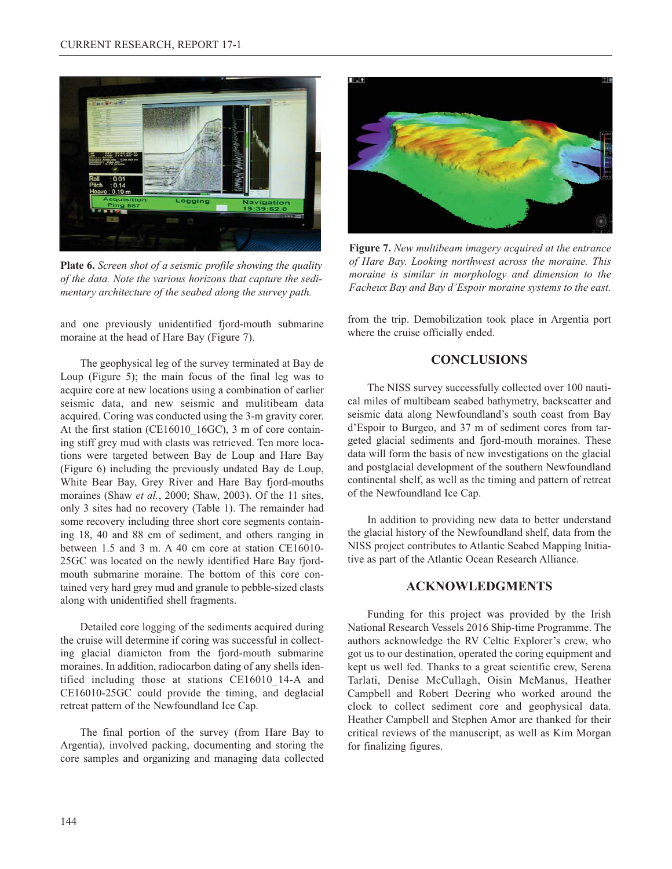

**Plate 6.** *Screen shot of a seismic profile showing the quality of the data. Note the various horizons that capture the sedimentary architecture of the seabed along the survey path.*

and one previously unidentified fjord-mouth submarine moraine at the head of Hare Bay (Figure 7).

The geophysical leg of the survey terminated at Bay de Loup (Figure 5); the main focus of the final leg was to acquire core at new locations using a combination of earlier seismic data, and new seismic and mulitibeam data acquired. Coring was conducted using the 3-m gravity corer. At the first station (CE16010\_16GC), 3 m of core containing stiff grey mud with clasts was retrieved. Ten more locations were targeted between Bay de Loup and Hare Bay (Figure 6) including the previously undated Bay de Loup, White Bear Bay, Grey River and Hare Bay fjord-mouths moraines (Shaw *et al.*, 2000; Shaw, 2003). Of the 11 sites, only 3 sites had no recovery (Table 1). The remainder had some recovery including three short core segments containing 18, 40 and 88 cm of sediment, and others ranging in between 1.5 and 3 m. A 40 cm core at station CE16010- 25GC was located on the newly identified Hare Bay fjordmouth submarine moraine. The bottom of this core contained very hard grey mud and granule to pebble-sized clasts along with unidentified shell fragments.

Detailed core logging of the sediments acquired during the cruise will determine if coring was successful in collecting glacial diamicton from the fjord-mouth submarine moraines. In addition, radiocarbon dating of any shells identified including those at stations CE16010\_14-A and CE16010-25GC could provide the timing, and deglacial retreat pattern of the Newfoundland Ice Cap.

The final portion of the survey (from Hare Bay to Argentia), involved packing, documenting and storing the core samples and organizing and managing data collected



**Figure 7.** *New multibeam imagery acquired at the entrance of Hare Bay. Looking northwest across the moraine. This moraine is similar in morphology and dimension to the Facheux Bay and Bay d'Espoir moraine systems to the east.*

from the trip. Demobilization took place in Argentia port where the cruise officially ended.

## **CONCLUSIONS**

The NISS survey successfully collected over 100 nautical miles of multibeam seabed bathymetry, backscatter and seismic data along Newfoundland's south coast from Bay d'Espoir to Burgeo, and 37 m of sediment cores from targeted glacial sediments and fjord-mouth moraines. These data will form the basis of new investigations on the glacial and postglacial development of the southern Newfoundland continental shelf, as well as the timing and pattern of retreat of the Newfoundland Ice Cap.

In addition to providing new data to better understand the glacial history of the Newfoundland shelf, data from the NISS project contributes to Atlantic Seabed Mapping Initiative as part of the Atlantic Ocean Research Alliance.

### **ACKNOWLEDGMENTS**

Funding for this project was provided by the Irish National Research Vessels 2016 Ship-time Programme. The authors acknowledge the RV Celtic Explorer's crew, who got us to our destination, operated the coring equipment and kept us well fed. Thanks to a great scientific crew, Serena Tarlati, Denise McCullagh, Oisin McManus, Heather Campbell and Robert Deering who worked around the clock to collect sediment core and geophysical data. Heather Campbell and Stephen Amor are thanked for their critical reviews of the manuscript, as well as Kim Morgan for finalizing figures.